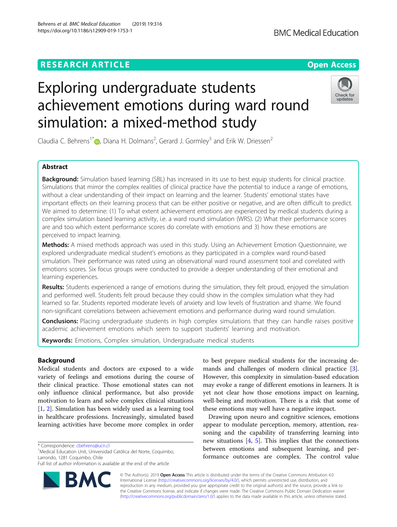## **RESEARCH ARTICLE Example 2018 12:30 THE Open Access**

# Exploring undergraduate students achievement emotions during ward round simulation: a mixed-method study

Claudia C. Behrens<sup>1[\\*](http://orcid.org/0000-0001-9859-7295)</sup> $\textcircled{\tiny D}$ , Diana H. Dolmans<sup>2</sup>, Gerard J. Gormley<sup>3</sup> and Erik W. Driessen<sup>2</sup>

## Abstract

Background: Simulation based learning (SBL) has increased in its use to best equip students for clinical practice. Simulations that mirror the complex realities of clinical practice have the potential to induce a range of emotions, without a clear understanding of their impact on learning and the learner. Students' emotional states have important effects on their learning process that can be either positive or negative, and are often difficult to predict. We aimed to determine: (1) To what extent achievement emotions are experienced by medical students during a complex simulation based learning activity, i.e. a ward round simulation (WRS). (2) What their performance scores are and too which extent performance scores do correlate with emotions and 3) how these emotions are perceived to impact learning.

Methods: A mixed methods approach was used in this study. Using an Achievement Emotion Questionnaire, we explored undergraduate medical student's emotions as they participated in a complex ward round-based simulation. Their performance was rated using an observational ward round assessment tool and correlated with emotions scores. Six focus groups were conducted to provide a deeper understanding of their emotional and learning experiences.

Results: Students experienced a range of emotions during the simulation, they felt proud, enjoyed the simulation and performed well. Students felt proud because they could show in the complex simulation what they had learned so far. Students reported moderate levels of anxiety and low levels of frustration and shame. We found non-significant correlations between achievement emotions and performance during ward round simulation.

**Conclusions:** Placing undergraduate students in high complex simulations that they can handle raises positive academic achievement emotions which seem to support students' learning and motivation.

Keywords: Emotions, Complex simulation, Undergraduate medical students

## Background

Medical students and doctors are exposed to a wide variety of feelings and emotions during the course of their clinical practice. Those emotional states can not only influence clinical performance, but also provide motivation to learn and solve complex clinical situations [[1,](#page-6-0) [2\]](#page-6-0). Simulation has been widely used as a learning tool in healthcare professions. Increasingly, simulated based learning activities have become more complex in order

\* Correspondence: [cbehrens@ucn.cl](mailto:cbehrens@ucn.cl) <sup>1</sup>

RA

Medical Education Unit, Universidad Católica del Norte, Coquimbo, Larrondo, 1281 Coquimbo, Chile

© The Author(s). 2019 **Open Access** This article is distributed under the terms of the Creative Commons Attribution 4.0 International License [\(http://creativecommons.org/licenses/by/4.0/](http://creativecommons.org/licenses/by/4.0/)), which permits unrestricted use, distribution, and reproduction in any medium, provided you give appropriate credit to the original author(s) and the source, provide a link to the Creative Commons license, and indicate if changes were made. The Creative Commons Public Domain Dedication waiver [\(http://creativecommons.org/publicdomain/zero/1.0/](http://creativecommons.org/publicdomain/zero/1.0/)) applies to the data made available in this article, unless otherwise stated.

yet not clear how those emotions impact on learning, well-being and motivation. There is a risk that some of these emotions may well have a negative impact.

Drawing upon neuro and cognitive sciences, emotions appear to modulate perception, memory, attention, reasoning and the capability of transferring learning into new situations [[4,](#page-6-0) [5\]](#page-6-0). This implies that the connections between emotions and subsequent learning, and performance outcomes are complex. The control value

to best prepare medical students for the increasing de-mands and challenges of modern clinical practice [\[3](#page-6-0)]. However, this complexity in simulation-based education may evoke a range of different emotions in learners. It is



Full list of author information is available at the end of the article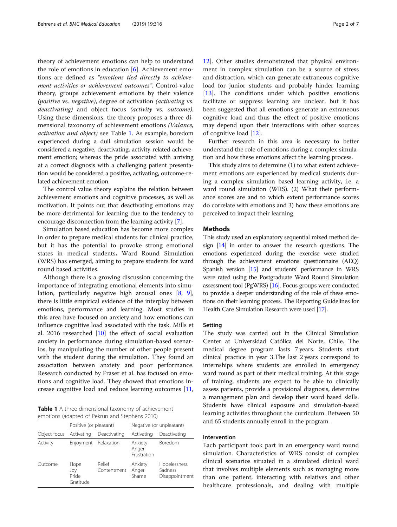theory of achievement emotions can help to understand the role of emotions in education [[6](#page-6-0)]. Achievement emotions are defined as "emotions tied directly to achievement activities or achievement outcomes". Control-value theory, groups achievement emotions by their valence (positive vs. negative), degree of activation (activating vs. deactivating) and object focus (activity vs. outcome). Using these dimensions, the theory proposes a three dimensional taxonomy of achievement emotions (Valance, activation and object) see Table 1. As example, boredom experienced during a dull simulation session would be considered a negative, deactivating, activity-related achievement emotion; whereas the pride associated with arriving at a correct diagnosis with a challenging patient presentation would be considered a positive, activating, outcome-related achievement emotion.

The control value theory explains the relation between achievement emotions and cognitive processes, as well as motivation. It points out that deactivating emotions may be more detrimental for learning due to the tendency to encourage disconnection from the learning activity [\[7](#page-6-0)].

Simulation based education has become more complex in order to prepare medical students for clinical practice, but it has the potential to provoke strong emotional states in medical students. Ward Round Simulation (WRS) has emerged, aiming to prepare students for ward round based activities.

Although there is a growing discussion concerning the importance of integrating emotional elements into simulation, particularly negative high arousal ones [\[8](#page-6-0), [9](#page-6-0)], there is little empirical evidence of the interplay between emotions, performance and learning. Most studies in this area have focused on anxiety and how emotions can influence cognitive load associated with the task. Mills et al. 2016 researched [\[10](#page-6-0)] the effect of social evaluation anxiety in performance during simulation-based scenarios, by manipulating the number of other people present with the student during the simulation. They found an association between anxiety and poor performance. Research conducted by Fraser et al. has focused on emotions and cognitive load. They showed that emotions increase cognitive load and reduce learning outcomes [[11](#page-6-0),

Table 1 A three dimensional taxonomy of achievement emotions (adapted of Pekrun and Stephens 2010)

|              | Positive (or pleasant)            |                       | Negative (or unpleasant)        |                                           |  |
|--------------|-----------------------------------|-----------------------|---------------------------------|-------------------------------------------|--|
| Object focus | Activating                        | Deactivating          | Activating                      | Deactivating                              |  |
| Activity     | Enjoyment                         | Relaxation            | Anxiety<br>Anger<br>Frustration | <b>Boredom</b>                            |  |
| Outcome      | Hope<br>Joy<br>Pride<br>Gratitude | Relief<br>Contentment | Anxiety<br>Anger<br>Shame       | Hopelessness<br>Sadness<br>Disappointment |  |

[12\]](#page-6-0). Other studies demonstrated that physical environment in complex simulation can be a source of stress and distraction, which can generate extraneous cognitive load for junior students and probably hinder learning [[13\]](#page-6-0). The conditions under which positive emotions facilitate or suppress learning are unclear, but it has been suggested that all emotions generate an extraneous cognitive load and thus the effect of positive emotions may depend upon their interactions with other sources of cognitive load [[12\]](#page-6-0).

Further research in this area is necessary to better understand the role of emotions during a complex simulation and how these emotions affect the learning process.

This study aims to determine (1) to what extent achievement emotions are experienced by medical students during a complex simulation based learning activity, i.e. a ward round simulation (WRS). (2) What their performance scores are and to which extent performance scores do correlate with emotions and 3) how these emotions are perceived to impact their learning.

## **Methods**

This study used an explanatory sequential mixed method design  $[14]$  in order to answer the research questions. The emotions experienced during the exercise were studied through the achievement emotions questionnaire (AEQ) Spanish version [\[15\]](#page-6-0) and students' performance in WRS were rated using the Postgraduate Ward Round Simulation assessment tool (PgWRS) [[16\]](#page-6-0). Focus groups were conducted to provide a deeper understanding of the role of these emotions on their learning process. The Reporting Guidelines for Health Care Simulation Research were used [\[17](#page-6-0)].

#### **Setting**

The study was carried out in the Clinical Simulation Center at Universidad Católica del Norte, Chile. The medical degree program lasts 7 years. Students start clinical practice in year 3.The last 2 years correspond to internships where students are enrolled in emergency ward round as part of their medical training. At this stage of training, students are expect to be able to clinically assess patients, provide a provisional diagnosis, determine a management plan and develop their ward based skills. Students have clinical exposure and simulation-based learning activities throughout the curriculum. Between 50 and 65 students annually enroll in the program.

#### Intervention

Each participant took part in an emergency ward round simulation. Characteristics of WRS consist of complex clinical scenarios situated in a simulated clinical ward that involves multiple elements such as managing more than one patient, interacting with relatives and other healthcare professionals, and dealing with multiple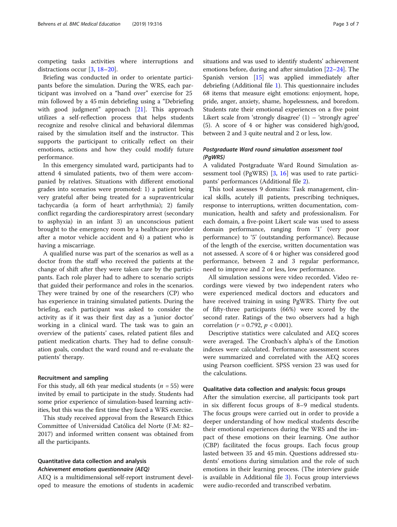competing tasks activities where interruptions and distractions occur [[3,](#page-6-0) [18](#page-6-0)–[20](#page-6-0)].

Briefing was conducted in order to orientate participants before the simulation. During the WRS, each participant was involved on a "hand over" exercise for 25 min followed by a 45 min debriefing using a "Debriefing with good judgment" approach [[21](#page-6-0)]. This approach utilizes a self-reflection process that helps students recognize and resolve clinical and behavioral dilemmas raised by the simulation itself and the instructor. This supports the participant to critically reflect on their emotions, actions and how they could modify future performance.

In this emergency simulated ward, participants had to attend 4 simulated patients, two of them were accompanied by relatives. Situations with different emotional grades into scenarios were promoted: 1) a patient being very grateful after being treated for a supraventricular tachycardia (a form of heart arrhythmia); 2) family conflict regarding the cardiorespiratory arrest (secondary to asphyxia) in an infant 3) an unconscious patient brought to the emergency room by a healthcare provider after a motor vehicle accident and 4) a patient who is having a miscarriage.

A qualified nurse was part of the scenarios as well as a doctor from the staff who received the patients at the change of shift after they were taken care by the participants. Each role player had to adhere to scenario scripts that guided their performance and roles in the scenarios. They were trained by one of the researchers (CP) who has experience in training simulated patients. During the briefing, each participant was asked to consider the activity as if it was their first day as a 'junior doctor' working in a clinical ward. The task was to gain an overview of the patients' cases, related patient files and patient medication charts. They had to define consultation goals, conduct the ward round and re-evaluate the patients' therapy.

#### Recruitment and sampling

For this study, all 6th year medical students ( $n = 55$ ) were invited by email to participate in the study. Students had some prior experience of simulation-based learning activities, but this was the first time they faced a WRS exercise.

This study received approval from the Research Ethics Committee of Universidad Católica del Norte (F.M: 82– 2017) and informed written consent was obtained from all the participants.

## Quantitative data collection and analysis Achievement emotions questionnaire (AEQ)

AEQ is a multidimensional self-report instrument developed to measure the emotions of students in academic situations and was used to identify students' achievement emotions before, during and after simulation [[22](#page-6-0)–[24\]](#page-6-0). The Spanish version [\[15](#page-6-0)] was applied immediately after debriefing (Additional file [1\)](#page-5-0). This questionnaire includes 68 items that measure eight emotions: enjoyment, hope, pride, anger, anxiety, shame, hopelessness, and boredom. Students rate their emotional experiences on a five point Likert scale from 'strongly disagree'  $(1)$  – 'strongly agree' (5). A score of 4 or higher was considered high/good, between 2 and 3 quite neutral and 2 or less, low.

## Postgraduate Ward round simulation assessment tool (PgWRS)

A validated Postgraduate Ward Round Simulation assessment tool (PgWRS) [\[3](#page-6-0), [16\]](#page-6-0) was used to rate participants' performances (Additional file [2\)](#page-5-0).

This tool assesses 9 domains: Task management, clinical skills, acutely ill patients, prescribing techniques, response to interruptions, written documentation, communication, health and safety and professionalism. For each domain, a five-point Likert scale was used to assess domain performance, ranging from '1' (very poor performance) to '5' (outstanding performance). Because of the length of the exercise, written documentation was not assessed. A score of 4 or higher was considered good performance, between 2 and 3 regular performance, need to improve and 2 or less, low performance.

All simulation sessions were video recorded. Video recordings were viewed by two independent raters who were experienced medical doctors and educators and have received training in using PgWRS. Thirty five out of fifty-three participants (66%) were scored by the second rater. Ratings of the two observers had a high correlation ( $r = 0.792$ ,  $p < 0.001$ ).

Descriptive statistics were calculated and AEQ scores were averaged. The Cronbach's alpha's of the Emotion indexes were calculated. Performance assessment scores were summarized and correlated with the AEQ scores using Pearson coefficient. SPSS version 23 was used for the calculations.

### Qualitative data collection and analysis: focus groups

After the simulation exercise, all participants took part in six different focus groups of 8–9 medical students. The focus groups were carried out in order to provide a deeper understanding of how medical students describe their emotional experiences during the WRS and the impact of these emotions on their learning. One author (CBP) facilitated the focus groups. Each focus group lasted between 35 and 45 min. Questions addressed students' emotions during simulation and the role of such emotions in their learning process. (The interview guide is available in Additional file [3](#page-5-0)). Focus group interviews were audio-recorded and transcribed verbatim.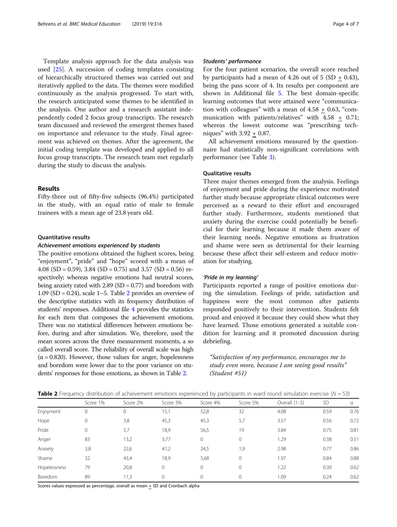Template analysis approach for the data analysis was used [\[25\]](#page-6-0). A succession of coding templates consisting of hierarchically structured themes was carried out and iteratively applied to the data. The themes were modified continuously as the analysis progressed. To start with, the research anticipated some themes to be identified in the analysis. One author and a research assistant independently coded 2 focus group transcripts. The research team discussed and reviewed the emergent themes based on importance and relevance to the study. Final agreement was achieved on themes. After the agreement, the initial coding template was developed and applied to all focus group transcripts. The research team met regularly during the study to discuss the analysis.

## Results

Fifty-three out of fifty-five subjects (96.4%) participated in the study, with an equal ratio of male to female trainees with a mean age of 23.8 years old.

#### Quantitative results

### Achievement emotions experienced by students

The positive emotions obtained the highest scores, being "enjoyment", "pride" and "hope" scored with a mean of 4.08 (SD = 0.59), 3.84 (SD = 0.75) and 3.57 (SD = 0.56) respectively; whereas negative emotions had neutral scores, being anxiety rated with 2.89 (SD = 0.77) and boredom with 1.09 (SD = 0.24), scale  $1-5$ . Table 2 provides an overview of the descriptive statistics with its frequency distribution of students' responses. Additional file [4](#page-5-0) provides the statistics for each item that composes the achievement emotions. There was no statistical differences between emotions before, during and after simulation. We, therefore, used the mean scores across the three measurement moments, a so called overall score. The reliability of overall scale was high  $(\alpha = 0.820)$ . However, those values for anger, hopelessness and boredom were lower due to the poor variance on students' responses for those emotions, as shown in Table 2.

## Students' performance

For the four patient scenarios, the overall score reached by participants had a mean of 4.26 out of  $5 (SD + 0.43)$ , being the pass score of 4. Its results per component are shown in Additional file [5](#page-5-0). The best domain-specific learning outcomes that were attained were "communication with colleagues" with a mean of  $4.58 + 0.63$ , "communication with patients/relatives" with 4.58 + 0.71; whereas the lowest outcome was "prescribing techniques" with 3.92 + 0.87.

All achievement emotions measured by the questionnaire had statistically non-significant correlations with performance (see Table [3\)](#page-4-0).

#### Qualitative results

Three major themes emerged from the analysis. Feelings of enjoyment and pride during the experience motivated further study because appropriate clinical outcomes were perceived as a reward to their effort and encouraged further study. Furthermore, students mentioned that anxiety during the exercise could potentially be beneficial for their learning because it made them aware of their learning needs. Negative emotions as frustration and shame were seen as detrimental for their learning because these affect their self-esteem and reduce motivation for studying.

#### 'Pride in my learning'

Participants reported a range of positive emotions during the simulation. Feelings of pride, satisfaction and happiness were the most common after patients responded positively to their intervention. Students felt proud and enjoyed it because they could show what they have learned. Those emotions generated a suitable condition for learning and it promoted discussion during debriefing.

"Satisfaction of my performance, encourages me to study even more, because I am seeing good results" (Student #51)

| <b>Table 2</b> Frequency distribution of achievement emotions experienced by participants in ward round simulation exercise ( $N = 53$ ) |          |          |          |          |          |                 |           |      |  |
|------------------------------------------------------------------------------------------------------------------------------------------|----------|----------|----------|----------|----------|-----------------|-----------|------|--|
|                                                                                                                                          | Score 1% | Score 2% | Score 3% | Score 4% | Score 5% | Overall $(1-5)$ | <b>SD</b> | α    |  |
| Enjoyment                                                                                                                                | 0        |          | 15,1     | 52,8     | 32       | 4.08            | 0.59      | 0.76 |  |
| Hope                                                                                                                                     |          | 3,8      | 45,3     | 45,3     | 5.7      | 3.57            | 0.56      | 0.72 |  |
| Pride                                                                                                                                    |          | 5,7      | 18,9     | 56,5     | 19       | 3.84            | 0.75      | 0.81 |  |
| Anger                                                                                                                                    | 83       | 13.2     | 3,77     | 0        | $\Omega$ | 1.29            | 0.38      | 0.51 |  |
| Anxiety                                                                                                                                  | 3,8      | 22,6     | 47,2     | 24,5     | 1.9      | 2.98            | 0.77      | 0.86 |  |
| Shame                                                                                                                                    | 32       | 43,4     | 18,9     | 5,68     | $\Omega$ | 1.97            | 0.84      | 0.88 |  |
| Hopelessness                                                                                                                             | 79       | 20.8     |          | $\Omega$ | $\Omega$ | 1.22            | 0.30      | 0.62 |  |

Boredom 89 11,3 0 0 0 1.09 0.24 0.62

Table 2 Frequency distribution of achievement emotions experienced by participants in ward round simulation exercise (N = 53)

Scores values expressed as percentage, overall as mean + SD and Cronbach alpha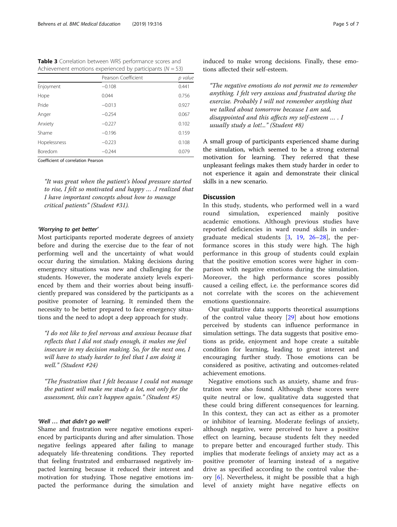<span id="page-4-0"></span>Table 3 Correlation between WRS performance scores and Achievement emotions experienced by participants ( $N = 53$ )

|              | Pearson Coefficient | p value |
|--------------|---------------------|---------|
| Enjoyment    | $-0.108$            | 0.441   |
| Hope         | 0.044               | 0.756   |
| Pride        | $-0.013$            | 0.927   |
| Anger        | $-0.254$            | 0.067   |
| Anxiety      | $-0.227$            | 0.102   |
| Shame        | $-0.196$            | 0.159   |
| Hopelessness | $-0.223$            | 0.108   |
| Boredom      | $-0.244$            | 0.079   |

Coefficient of correlation Pearson

"It was great when the patient's blood pressure started to rise, I felt so motivated and happy … .I realized that I have important concepts about how to manage critical patients" (Student #31).

#### 'Worrying to get better'

Most participants reported moderate degrees of anxiety before and during the exercise due to the fear of not performing well and the uncertainty of what would occur during the simulation. Making decisions during emergency situations was new and challenging for the students. However, the moderate anxiety levels experienced by them and their worries about being insufficiently prepared was considered by the participants as a positive promoter of learning. It reminded them the necessity to be better prepared to face emergency situations and the need to adopt a deep approach for study.

"I do not like to feel nervous and anxious because that reflects that I did not study enough, it makes me feel insecure in my decision making. So, for the next one, I will have to study harder to feel that I am doing it well." (Student #24)

"The frustration that I felt because I could not manage the patient will make me study a lot, not only for the assessment, this can't happen again." (Student #5)

## 'Well ... that didn't go well!'

Shame and frustration were negative emotions experienced by participants during and after simulation. Those negative feelings appeared after failing to manage adequately life-threatening conditions. They reported that feeling frustrated and embarrassed negatively impacted learning because it reduced their interest and motivation for studying. Those negative emotions impacted the performance during the simulation and induced to make wrong decisions. Finally, these emotions affected their self-esteem.

"The negative emotions do not permit me to remember anything. I felt very anxious and frustrated during the exercise. Probably I will not remember anything that we talked about tomorrow because I am sad, disappointed and this affects my self-esteem … . I usually study a lot!..." (Student #8)

A small group of participants experienced shame during the simulation, which seemed to be a strong external motivation for learning. They referred that these unpleasant feelings makes them study harder in order to not experience it again and demonstrate their clinical skills in a new scenario.

## **Discussion**

In this study, students, who performed well in a ward round simulation, experienced mainly positive academic emotions. Although previous studies have reported deficiencies in ward round skills in undergraduate medical students [[3](#page-6-0), [19,](#page-6-0) [26](#page-6-0)–[28\]](#page-6-0), the performance scores in this study were high. The high performance in this group of students could explain that the positive emotion scores were higher in comparison with negative emotions during the simulation. Moreover, the high performance scores possibly caused a ceiling effect, i.e. the performance scores did not correlate with the scores on the achievement emotions questionnaire.

Our qualitative data supports theoretical assumptions of the control value theory [[29\]](#page-6-0) about how emotions perceived by students can influence performance in simulation settings. The data suggests that positive emotions as pride, enjoyment and hope create a suitable condition for learning, leading to great interest and encouraging further study. Those emotions can be considered as positive, activating and outcomes-related achievement emotions.

Negative emotions such as anxiety, shame and frustration were also found. Although these scores were quite neutral or low, qualitative data suggested that these could bring different consequences for learning. In this context, they can act as either as a promoter or inhibitor of learning. Moderate feelings of anxiety, although negative, were perceived to have a positive effect on learning, because students felt they needed to prepare better and encouraged further study. This implies that moderate feelings of anxiety may act as a positive promoter of learning instead of a negative drive as specified according to the control value theory [[6\]](#page-6-0). Nevertheless, it might be possible that a high level of anxiety might have negative effects on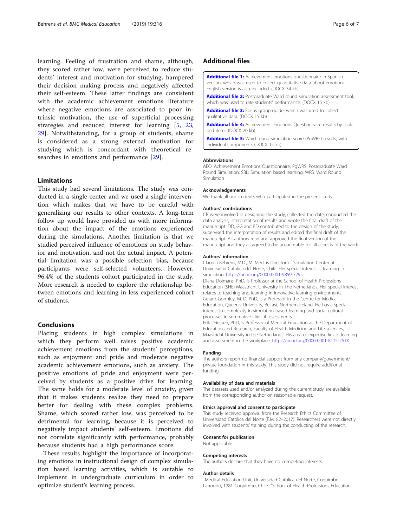<span id="page-5-0"></span>learning. Feeling of frustration and shame, although, they scored rather low, were perceived to reduce students' interest and motivation for studying, hampered their decision making process and negatively affected their self-esteem. These latter findings are consistent with the academic achievement emotions literature where negative emotions are associated to poor intrinsic motivation, the use of superficial processing strategies and reduced interest for learning [[5,](#page-6-0) [23](#page-6-0), [29\]](#page-6-0). Notwithstanding, for a group of students, shame is considered as a strong external motivation for studying which is concordant with theoretical researches in emotions and performance [[29](#page-6-0)].

## Limitations

This study had several limitations. The study was conducted in a single center and we used a single intervention which makes that we have to be careful with generalizing our results to other contexts. A long-term follow up would have provided us with more information about the impact of the emotions experienced during the simulations. Another limitation is that we studied perceived influence of emotions on study behavior and motivation, and not the actual impact. A potential limitation was a possible selection bias, because participants were self-selected volunteers. However, 96.4% of the students cohort participated in the study. More research is needed to explore the relationship between emotions and learning in less experienced cohort of students.

## Conclusions

Placing students in high complex simulations in which they perform well raises positive academic achievement emotions from the students' perceptions, such as enjoyment and pride and moderate negative academic achievement emotions, such as anxiety. The positive emotions of pride and enjoyment were perceived by students as a positive drive for learning. The same holds for a moderate level of anxiety, given that it makes students realize they need to prepare better for dealing with these complex problems. Shame, which scored rather low, was perceived to be detrimental for learning, because it is perceived to negatively impact students' self-esteem. Emotions did not correlate significantly with performance, probably because students had a high performance score.

These results highlight the importance of incorporating emotions in instructional design of complex simulation based learning activities, which is suitable to implement in undergraduate curriculum in order to optimize student's learning process.

## Additional files

[Additional file 1:](https://doi.org/10.1186/s12909-019-1753-1) Achievement emotions questionnaire in Spanish version, which was used to collect quantitative data about emotions. English version is also included. (DOCX 34 kb)

[Additional file 2:](https://doi.org/10.1186/s12909-019-1753-1) Postgraduate Ward round simulation assessment tool, which was used to rate students' performance. (DOCX 15 kb)

[Additional file 3:](https://doi.org/10.1186/s12909-019-1753-1) Focus group quide, which was used to collect qualitative data. (DOCX 15 kb)

[Additional file 4:](https://doi.org/10.1186/s12909-019-1753-1) Achievement Emotions Questionnaire results by scale and items (DOCX 20 kb)

[Additional file 5:](https://doi.org/10.1186/s12909-019-1753-1) Ward round simulation score (PgWRE) results, with individual components (DOCX 15 kb)

#### Abbreviations

AEQ: Achievement Emotions Questionnaire; PgWRS: Postgraduate Ward Round Simulation; SBL: Simulation based learning; WRS: Ward Round Simulation

#### Acknowledgements

We thank all our students who participated in the present study.

#### Authors' contributions

CB were involved in designing the study, collected the date, conducted the data analysis, interpretation of results and wrote the final draft of the manuscript. DD, GG and ED contributed to the design of the study, supervised the interpretation of results and edited the final draft of the manuscript. All authors read and approved the final version of the manuscript and they all agreed to be accountable for all aspects of the work.

#### Authors' information

Claudia Behrens, M.D., M. Med, is Director of Simulation Center at Universidad Católica del Norte, Chile. Her special interest is learning in simulation. <https://orcid.org/0000-0001-9859-7295>

Diana Dolmans, PhD, is Professor at the School of Health Professions Education (SHE) Maastricht University in The Netherlands. Her special interest relates to teaching and learning in innovative learning environments. Gerard Gormley, M. D, PhD, is a Professor in the Centre for Medical Education, Queen's University, Belfast, Northern Ireland. He has a special interest in complexity in simulation based learning and social cultural processes in summative clinical assessments.

Erik Driessen, PhD, is Professor of Medical Education at the Department of Education and Research, Faculty of Health Medicine and Life sciences, Maastricht University in the Netherlands. His area of expertise lies in learning and assessment in the workplace. <https://orcid.org/0000-0001-8115-261X>

#### Funding

The authors report no financial support from any company/government/ private foundation in this study. This study did not require additional funding.

#### Availability of data and materials

The datasets used and/or analyzed during the current study are available from the corresponding author on reasonable request.

#### Ethics approval and consent to participate

This study received approval from the Research Ethics Committee of Universidad Católica del Norte (F.M: 82–2017). Researchers were not directly involved with students' training during the conducting of the research.

#### Consent for publication

Not applicable.

#### Competing interests

The authors declare that they have no competing interests.

#### Author details

<sup>1</sup>Medical Education Unit, Universidad Católica del Norte, Coquimbo Larrondo, 1281 Coquimbo, Chile. <sup>2</sup>School of Health Professions Education